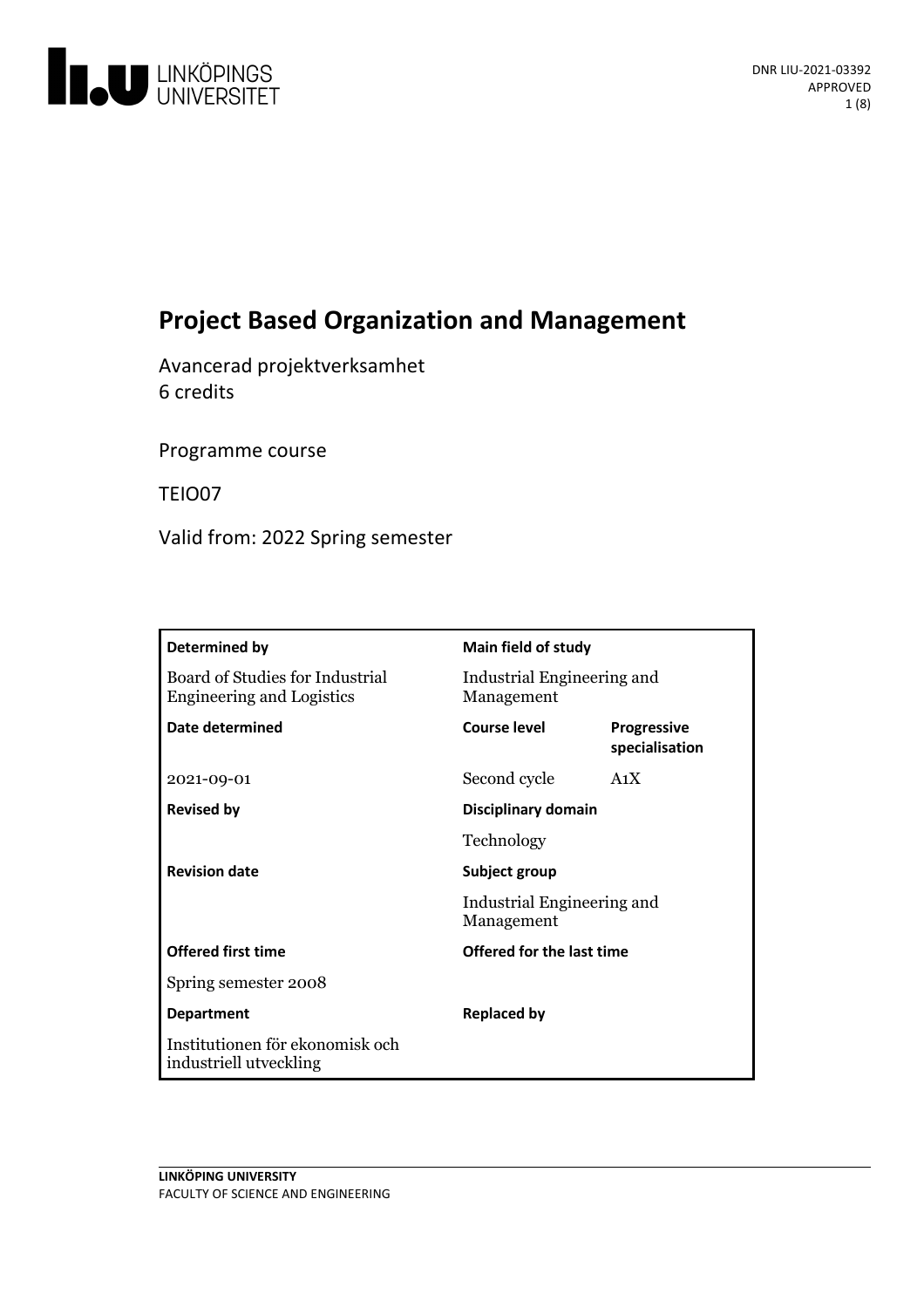

# **Project Based Organization and Management**

Avancerad projektverksamhet 6 credits

Programme course

TEIO07

Valid from: 2022 Spring semester

| Determined by                                                       | Main field of study                                       |                                      |
|---------------------------------------------------------------------|-----------------------------------------------------------|--------------------------------------|
| Board of Studies for Industrial<br><b>Engineering and Logistics</b> | Industrial Engineering and<br>Management                  |                                      |
| <b>Date determined</b>                                              | Course level                                              | <b>Progressive</b><br>specialisation |
| 2021-09-01                                                          | Second cycle                                              | A <sub>1</sub> X                     |
| <b>Revised by</b>                                                   | Disciplinary domain                                       |                                      |
|                                                                     | Technology                                                |                                      |
| <b>Revision date</b>                                                | Subject group<br>Industrial Engineering and<br>Management |                                      |
|                                                                     |                                                           |                                      |
| <b>Offered first time</b>                                           | Offered for the last time                                 |                                      |
| Spring semester 2008                                                |                                                           |                                      |
| <b>Department</b>                                                   | <b>Replaced by</b>                                        |                                      |
| Institutionen för ekonomisk och<br>industriell utveckling           |                                                           |                                      |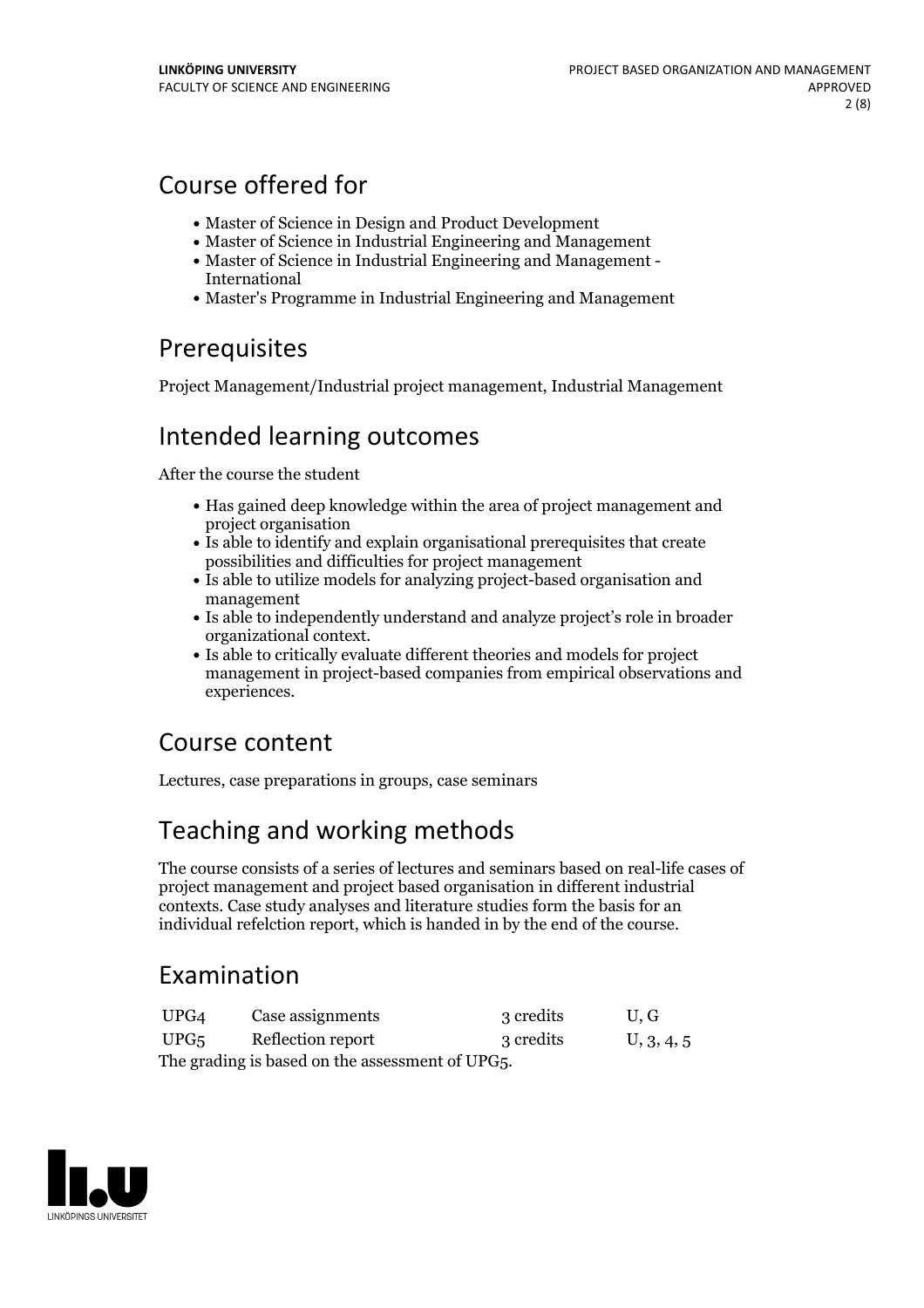## Course offered for

- Master of Science in Design and Product Development
- Master of Science in Industrial Engineering and Management
- Master of Science in Industrial Engineering and Management International
- Master's Programme in Industrial Engineering and Management

## Prerequisites

Project Management/Industrial project management, Industrial Management

## Intended learning outcomes

After the course the student

- Has gained deep knowledge within the area of project management and project organisation
- Is able to identify and explain organisational prerequisites that create possibilities and difficulties for project management
- Is able to utilize models for analyzing project-based organisation and management
- Is able to independently understand and analyze project's role in broader organizational context. Is able to critically evaluate different theories and models for project
- management in project-based companies from empirical observations and experiences.

## Course content

Lectures, case preparations in groups, case seminars

# Teaching and working methods

The course consists of a series of lectures and seminars based on real-life cases of project management and project based organisation in different industrial contexts. Case study analyses and literature studies form the basis for an individual refelction report, which is handed in by the end of the course.

## Examination

| UPG4                                            | Case assignments  | 3 credits | U.G        |  |  |  |
|-------------------------------------------------|-------------------|-----------|------------|--|--|--|
| UPG <sub>5</sub>                                | Reflection report | 3 credits | U, 3, 4, 5 |  |  |  |
| The grading is based on the assessment of UPG5. |                   |           |            |  |  |  |

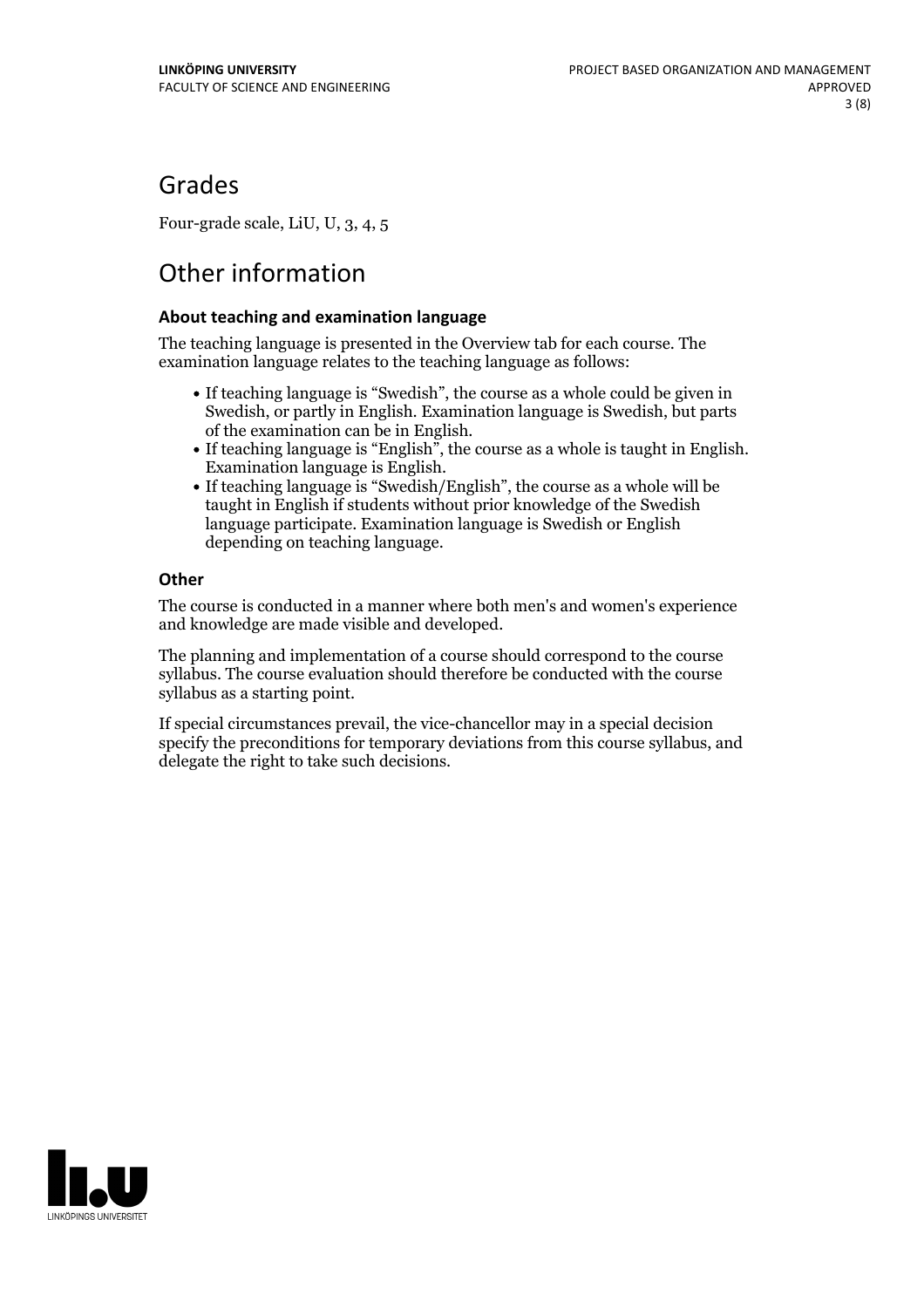## Grades

Four-grade scale, LiU, U, 3, 4, 5

# Other information

### **About teaching and examination language**

The teaching language is presented in the Overview tab for each course. The examination language relates to the teaching language as follows:

- If teaching language is "Swedish", the course as a whole could be given in Swedish, or partly in English. Examination language is Swedish, but parts
- of the examination can be in English. If teaching language is "English", the course as <sup>a</sup> whole is taught in English. Examination language is English. If teaching language is "Swedish/English", the course as <sup>a</sup> whole will be
- taught in English if students without prior knowledge of the Swedish language participate. Examination language is Swedish or English depending on teaching language.

### **Other**

The course is conducted in a manner where both men's and women's experience and knowledge are made visible and developed.

The planning and implementation of a course should correspond to the course syllabus. The course evaluation should therefore be conducted with the course syllabus as a starting point.

If special circumstances prevail, the vice-chancellor may in a special decision specify the preconditions for temporary deviations from this course syllabus, and delegate the right to take such decisions.

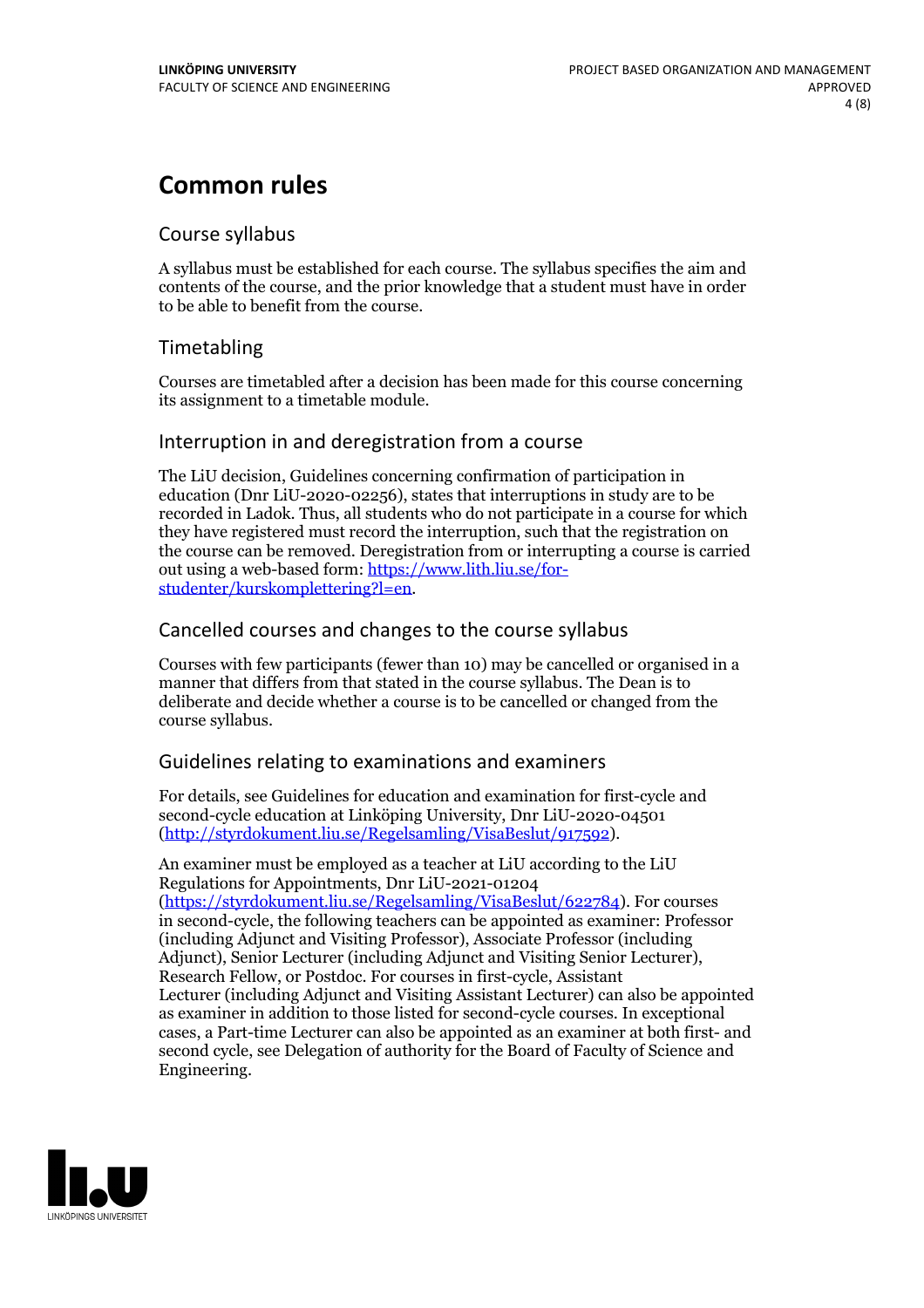## **Common rules**

### Course syllabus

A syllabus must be established for each course. The syllabus specifies the aim and contents of the course, and the prior knowledge that a student must have in order to be able to benefit from the course.

## Timetabling

Courses are timetabled after a decision has been made for this course concerning its assignment to a timetable module.

### Interruption in and deregistration from a course

The LiU decision, Guidelines concerning confirmation of participation in education (Dnr LiU-2020-02256), states that interruptions in study are to be recorded in Ladok. Thus, all students who do not participate in a course for which they have registered must record the interruption, such that the registration on the course can be removed. Deregistration from or interrupting a course is carried out using <sup>a</sup> web-based form: https://www.lith.liu.se/for- [studenter/kurskomplettering?l=en.](https://www.lith.liu.se/for-studenter/kurskomplettering?l=en)

## Cancelled coursesand changes to the course syllabus

Courses with few participants (fewer than 10) may be cancelled or organised in a manner that differs from that stated in the course syllabus. The Dean is to deliberate and decide whether a course is to be cancelled or changed from the course syllabus.

## Guidelines relating to examinations and examiners

For details, see Guidelines for education and examination for first-cycle and second-cycle education at Linköping University, Dnr LiU-2020-04501 [\(http://styrdokument.liu.se/Regelsamling/VisaBeslut/917592\)](http://styrdokument.liu.se/Regelsamling/VisaBeslut/917592).

An examiner must be employed as a teacher at LiU according to the LiU Regulations for Appointments, Dnr LiU-2021-01204 [\(https://styrdokument.liu.se/Regelsamling/VisaBeslut/622784](https://styrdokument.liu.se/Regelsamling/VisaBeslut/622784)). For courses in second-cycle, the following teachers can be appointed as examiner: Professor (including Adjunct and Visiting Professor), Associate Professor (including Adjunct), Senior Lecturer (including Adjunct and Visiting Senior Lecturer), Research Fellow, or Postdoc. For courses in first-cycle, Assistant Lecturer (including Adjunct and Visiting Assistant Lecturer) can also be appointed as examiner in addition to those listed for second-cycle courses. In exceptional cases, a Part-time Lecturer can also be appointed as an examiner at both first- and second cycle, see Delegation of authority for the Board of Faculty of Science and Engineering.

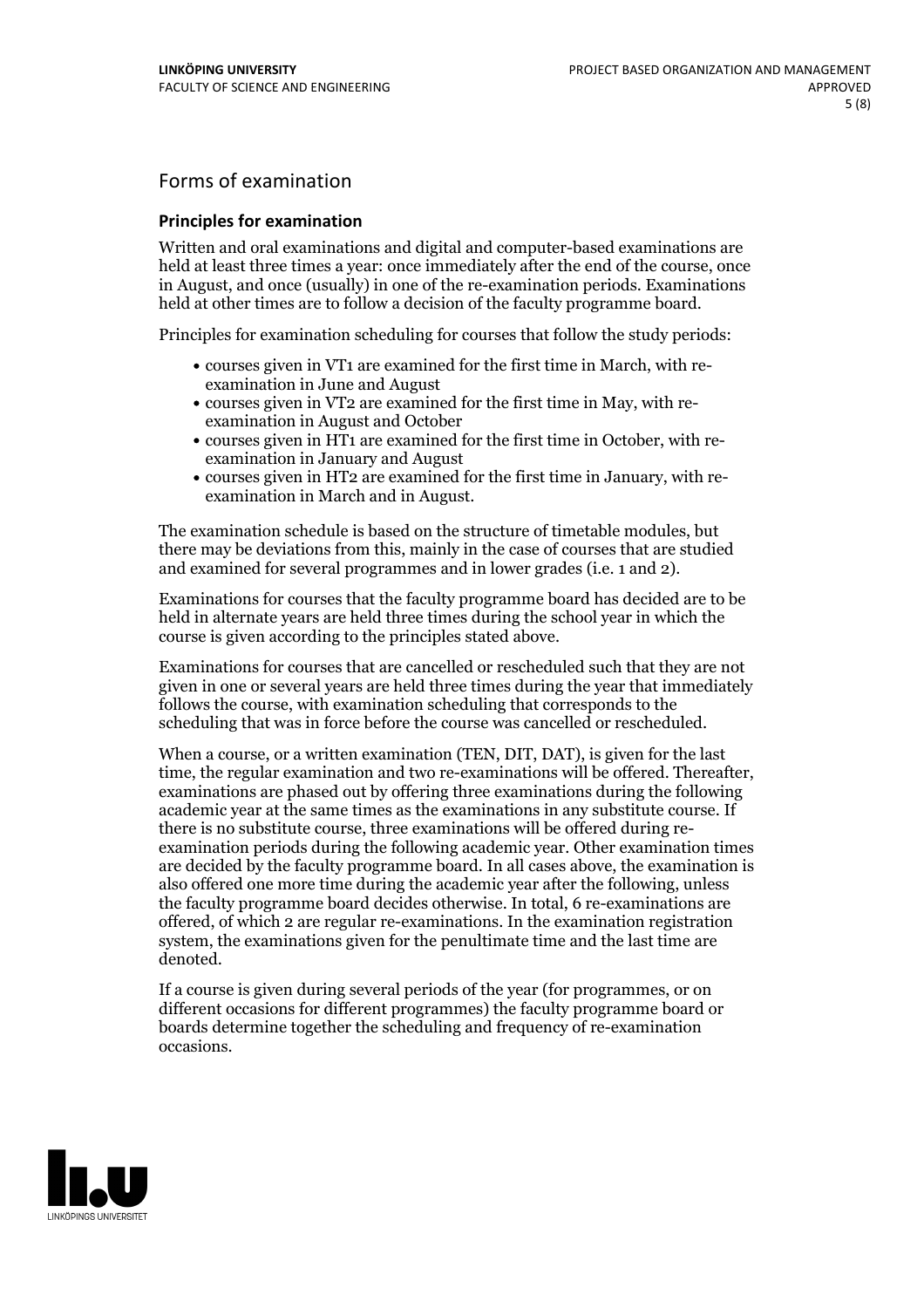## Forms of examination

#### **Principles for examination**

Written and oral examinations and digital and computer-based examinations are held at least three times a year: once immediately after the end of the course, once in August, and once (usually) in one of the re-examination periods. Examinations held at other times are to follow a decision of the faculty programme board.

Principles for examination scheduling for courses that follow the study periods:

- courses given in VT1 are examined for the first time in March, with re-examination in June and August
- courses given in VT2 are examined for the first time in May, with re-examination in August and October
- courses given in HT1 are examined for the first time in October, with re-examination in January and August
- courses given in HT2 are examined for the first time in January, with re-examination in March and in August.

The examination schedule is based on the structure of timetable modules, but there may be deviations from this, mainly in the case of courses that are studied and examined for several programmes and in lower grades (i.e. 1 and 2).

Examinations for courses that the faculty programme board has decided are to be held in alternate years are held three times during the school year in which the course is given according to the principles stated above.

Examinations for courses that are cancelled orrescheduled such that they are not given in one or several years are held three times during the year that immediately follows the course, with examination scheduling that corresponds to the scheduling that was in force before the course was cancelled or rescheduled.

When a course, or a written examination (TEN, DIT, DAT), is given for the last time, the regular examination and two re-examinations will be offered. Thereafter, examinations are phased out by offering three examinations during the following academic year at the same times as the examinations in any substitute course. If there is no substitute course, three examinations will be offered during re- examination periods during the following academic year. Other examination times are decided by the faculty programme board. In all cases above, the examination is also offered one more time during the academic year after the following, unless the faculty programme board decides otherwise. In total, 6 re-examinations are offered, of which 2 are regular re-examinations. In the examination registration system, the examinations given for the penultimate time and the last time are denoted.

If a course is given during several periods of the year (for programmes, or on different occasions for different programmes) the faculty programme board or boards determine together the scheduling and frequency of re-examination occasions.

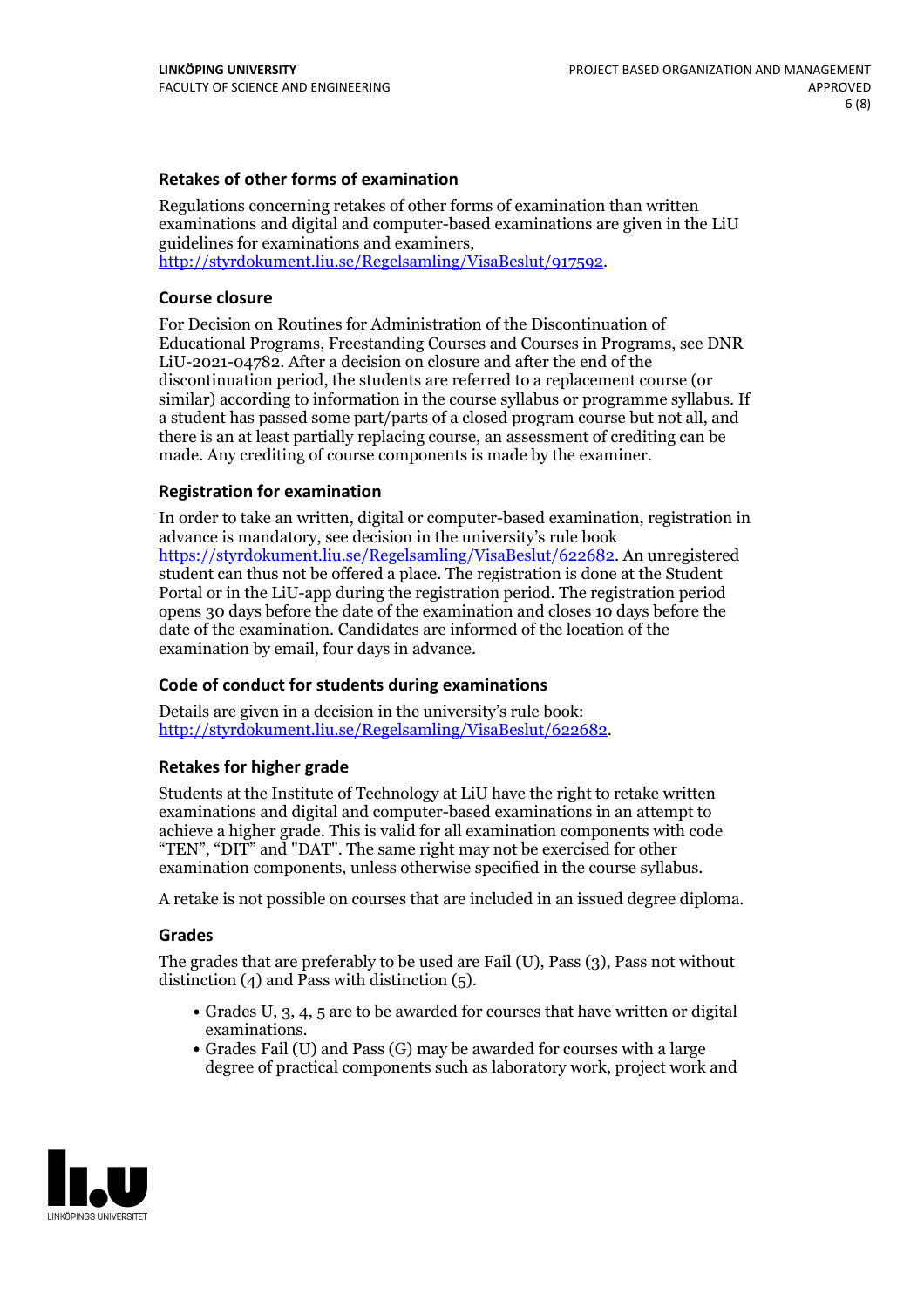### **Retakes of other forms of examination**

Regulations concerning retakes of other forms of examination than written examinations and digital and computer-based examinations are given in the LiU guidelines for examinations and examiners, [http://styrdokument.liu.se/Regelsamling/VisaBeslut/917592.](http://styrdokument.liu.se/Regelsamling/VisaBeslut/917592)

#### **Course closure**

For Decision on Routines for Administration of the Discontinuation of Educational Programs, Freestanding Courses and Courses in Programs, see DNR LiU-2021-04782. After a decision on closure and after the end of the discontinuation period, the students are referred to a replacement course (or similar) according to information in the course syllabus or programme syllabus. If a student has passed some part/parts of a closed program course but not all, and there is an at least partially replacing course, an assessment of crediting can be made. Any crediting of course components is made by the examiner.

#### **Registration for examination**

In order to take an written, digital or computer-based examination, registration in advance is mandatory, see decision in the university's rule book [https://styrdokument.liu.se/Regelsamling/VisaBeslut/622682.](https://styrdokument.liu.se/Regelsamling/VisaBeslut/622682) An unregistered student can thus not be offered a place. The registration is done at the Student Portal or in the LiU-app during the registration period. The registration period opens 30 days before the date of the examination and closes 10 days before the date of the examination. Candidates are informed of the location of the examination by email, four days in advance.

#### **Code of conduct for students during examinations**

Details are given in a decision in the university's rule book: <http://styrdokument.liu.se/Regelsamling/VisaBeslut/622682>.

#### **Retakes for higher grade**

Students at the Institute of Technology at LiU have the right to retake written examinations and digital and computer-based examinations in an attempt to achieve a higher grade. This is valid for all examination components with code "TEN", "DIT" and "DAT". The same right may not be exercised for other examination components, unless otherwise specified in the course syllabus.

A retake is not possible on courses that are included in an issued degree diploma.

#### **Grades**

The grades that are preferably to be used are Fail (U), Pass (3), Pass not without distinction  $(4)$  and Pass with distinction  $(5)$ .

- Grades U, 3, 4, 5 are to be awarded for courses that have written or digital examinations.<br>• Grades Fail (U) and Pass (G) may be awarded for courses with a large
- degree of practical components such as laboratory work, project work and

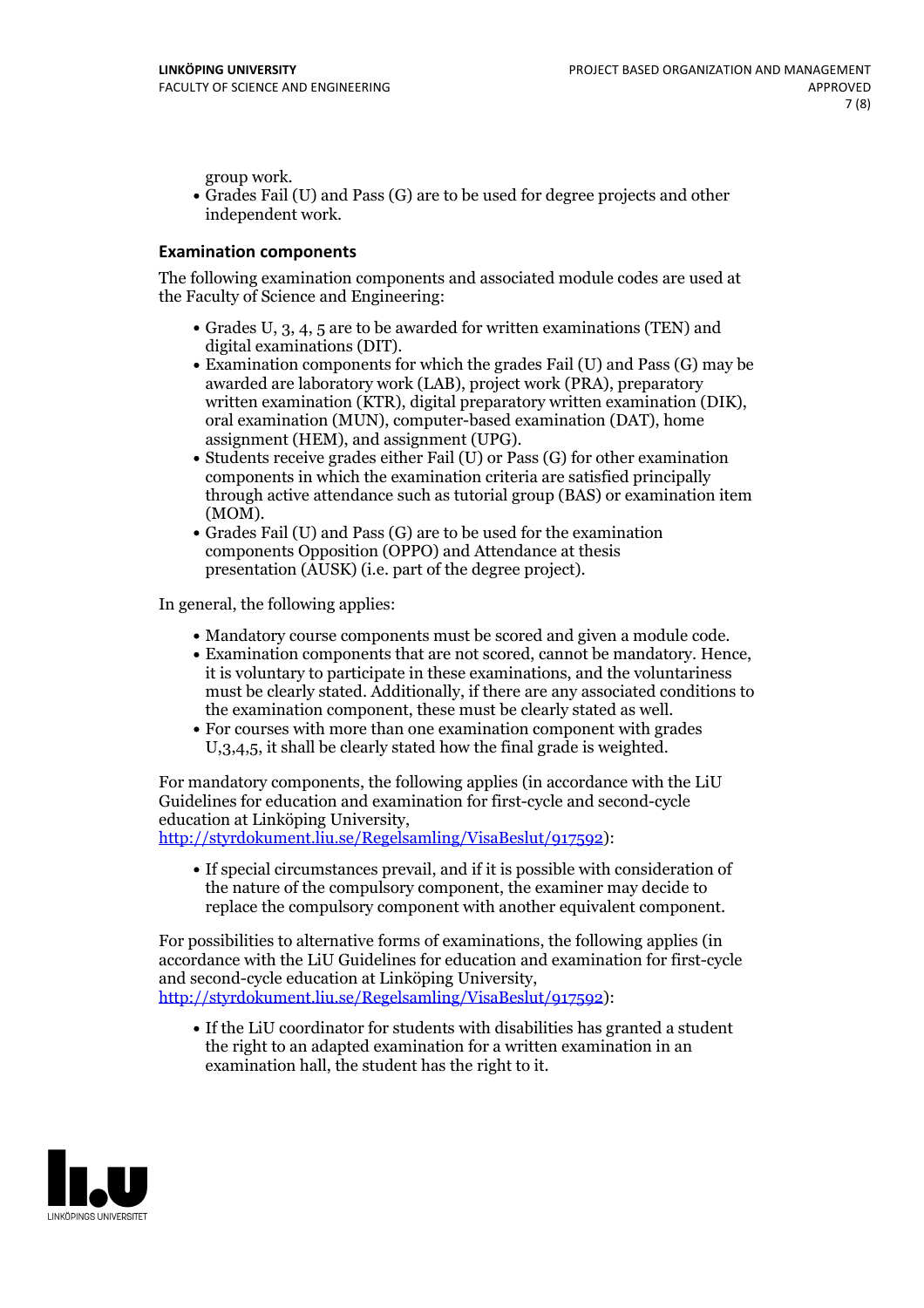group work.<br>• Grades Fail (U) and Pass (G) are to be used for degree projects and other independent work.

#### **Examination components**

The following examination components and associated module codes are used at the Faculty of Science and Engineering:

- Grades U, 3, 4, 5 are to be awarded for written examinations (TEN) and
- digital examinations (DIT).<br>• Examination components for which the grades Fail (U) and Pass (G) may be awarded are laboratory work (LAB), project work (PRA), preparatory written examination (KTR), digital preparatory written examination (DIK), oral examination (MUN), computer-based examination (DAT), home
- assignment (HEM), and assignment (UPG).<br>• Students receive grades either Fail (U) or Pass (G) for other examination components in which the examination criteria are satisfied principally through active attendance such as tutorial group (BAS) or examination item
- (MOM).<br>• Grades Fail (U) and Pass (G) are to be used for the examination components Opposition (OPPO) and Attendance at thesis presentation (AUSK) (i.e. part of the degree project).

In general, the following applies:

- 
- Mandatory course components must be scored and given <sup>a</sup> module code. Examination components that are not scored, cannot be mandatory. Hence, it is voluntary to participate in these examinations, and the voluntariness must be clearly stated. Additionally, if there are any associated conditions to
- the examination component, these must be clearly stated as well.<br>• For courses with more than one examination component with grades U,3,4,5, it shall be clearly stated how the final grade is weighted.

For mandatory components, the following applies (in accordance with the LiU Guidelines for education and examination for first-cycle and second-cycle

[http://styrdokument.liu.se/Regelsamling/VisaBeslut/917592\)](http://styrdokument.liu.se/Regelsamling/VisaBeslut/917592):

If special circumstances prevail, and if it is possible with consideration of the nature of the compulsory component, the examiner may decide to replace the compulsory component with another equivalent component.

For possibilities to alternative forms of examinations, the following applies (in accordance with the LiU Guidelines for education and examination for first-cycle [http://styrdokument.liu.se/Regelsamling/VisaBeslut/917592\)](http://styrdokument.liu.se/Regelsamling/VisaBeslut/917592):

If the LiU coordinator for students with disabilities has granted a student the right to an adapted examination for a written examination in an examination hall, the student has the right to it.